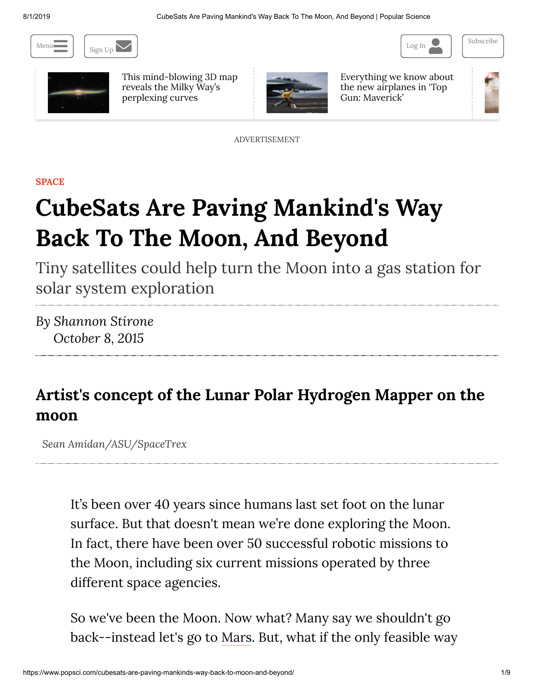8/1/2019 CubeSats Are Paving Mankind's Way Back To The Moon, And Beyond | Popular Science







This [mind-blowing](https://www.popsci.com/3d-galaxy-map-milky-way-curve/) 3D map reveals the Milky Way's perplexing curves



Everything we know about the new airplanes in 'Top [Gun: Maverick'](https://www.popsci.com/new-top-gun-maverick-fighter-jets/)



ADVERTISEMENT

**[SPACE](https://www.popsci.com/space)**

# **CubeSats Are Paving Mankind's Way Back To The Moon, And Beyond**

Tiny satellites could help turn the Moon into a gas station for solar system exploration

*By [Shannon](https://www.popsci.com/authors/shannon-stirone) Stirone October 8, 2015*

## **Artist's concept of the Lunar Polar Hydrogen Mapper on the moon**

*Sean Amidan/ASU/SpaceTrex*

It's been over 40 years since humans last set foot on the lunar surface. But that doesn't mean we're done exploring the Moon. In fact, there have been over 50 successful robotic missions to the Moon, including six current missions operated by three different space agencies.

So we've been the Moon. Now what? Many say we shouldn't go back--instead let's go to [Mars](http://www.popsci.com/tags/mars). But, what if the only feasible way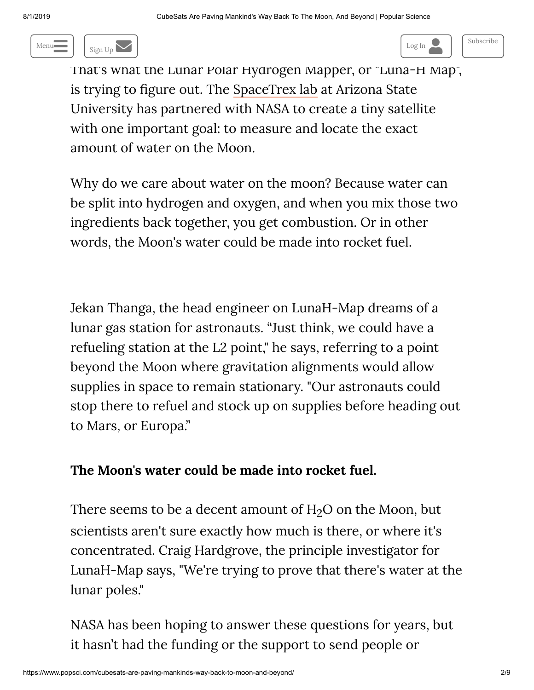





That's what the Lunar Polar Hydrogen Mapper, or "Luna-H Map", is trying to figure out. The [SpaceTrex](http://space.asu.edu/) lab at Arizona State University has partnered with NASA to create a tiny satellite with one important goal: to measure and locate the exact amount of water on the Moon.

Why do we care about water on the moon? Because water can be split into hydrogen and oxygen, and when you mix those two ingredients back together, you get combustion. Or in other words, the Moon's water could be made into rocket fuel.

Jekan Thanga, the head engineer on LunaH-Map dreams of a lunar gas station for astronauts. "Just think, we could have a refueling station at the L2 point," he says, referring to a point beyond the Moon where gravitation alignments would allow supplies in space to remain stationary. "Our astronauts could stop there to refuel and stock up on supplies before heading out to Mars, or Europa."

## **The Moon's water could be made into rocket fuel.**

There seems to be a decent amount of  $H<sub>2</sub>O$  on the Moon, but scientists aren't sure exactly how much is there, or where it's concentrated. Craig Hardgrove, the principle investigator for LunaH-Map says, "We're trying to prove that there's water at the lunar poles."

NASA has been hoping to answer these questions for years, but it hasn't had the funding or the support to send people or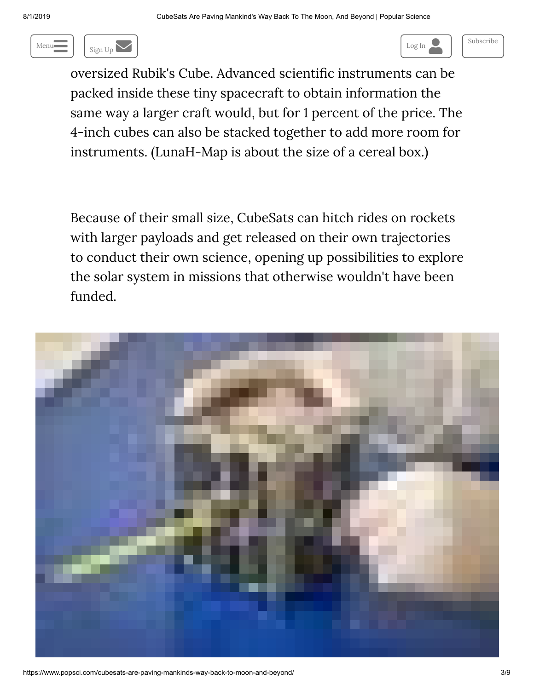

 $\begin{array}{c} \hline \end{array}$  $\log n$  in . Cubes are very small satellite satisfies of an interversion of an interversion of an interversion of an interversion of an interversion of an interversion of an interversion of an interversion of an interversio Menu $\blacksquare$  Sign Up  $\blacksquare$  Sign Up  $\blacksquare$ 

oversized Rubik's Cube. Advanced scientific instruments can be packed inside these tiny spacecraft to obtain information the same way a larger craft would, but for 1 percent of the price. The 4-inch cubes can also be stacked together to add more room for instruments. (LunaH-Map is about the size of a cereal box.)

Because of their small size, CubeSats can hitch rides on rockets with larger payloads and get released on their own trajectories to conduct their own science, opening up possibilities to explore the solar system in missions that otherwise wouldn't have been funded.

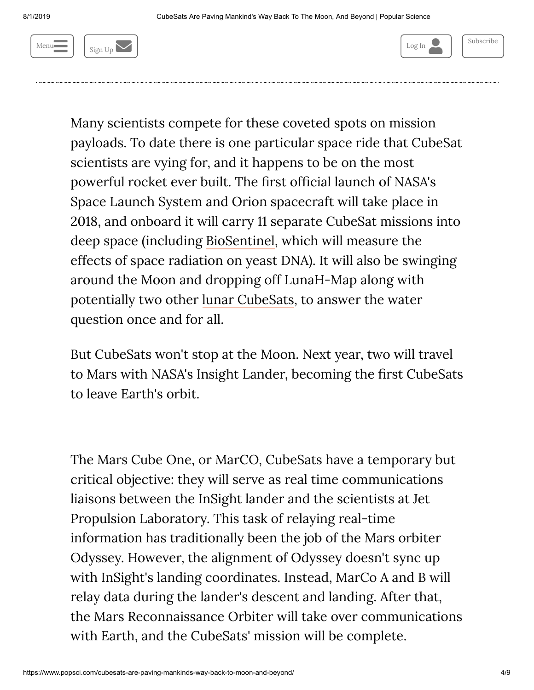



Many scientists compete for these coveted spots on mission payloads. To date there is one particular space ride that CubeSat scientists are vying for, and it happens to be on the most powerful rocket ever built. The first official launch of NASA's Space Launch System and Orion spacecraft will take place in 2018, and onboard it will carry 11 separate CubeSat missions into deep space (including [BioSentinel,](http://www.popsci.com/study-cosmic-radiation-nasa-launching-yeast-deep-space) which will measure the effects of space radiation on yeast DNA). It will also be swinging around the Moon and dropping off LunaH-Map along with potentially two other lunar [CubeSats](http://www.popsci.com/tiny-lunar-icecube-spacecraft-wants-help-nasa-build-moon-mine), to answer the water question once and for all.

But CubeSats won't stop at the Moon. Next year, two will travel to Mars with NASA's Insight Lander, becoming the first CubeSats to leave Earth's orbit.

The Mars Cube One, or MarCO, CubeSats have a temporary but critical objective: they will serve as real time communications liaisons between the InSight lander and the scientists at Jet Propulsion Laboratory. This task of relaying real-time information has traditionally been the job of the Mars orbiter Odyssey. However, the alignment of Odyssey doesn't sync up with InSight's landing coordinates. Instead, MarCo A and B will relay data during the lander's descent and landing. After that, the Mars Reconnaissance Orbiter will take over communications with Earth, and the CubeSats' mission will be complete.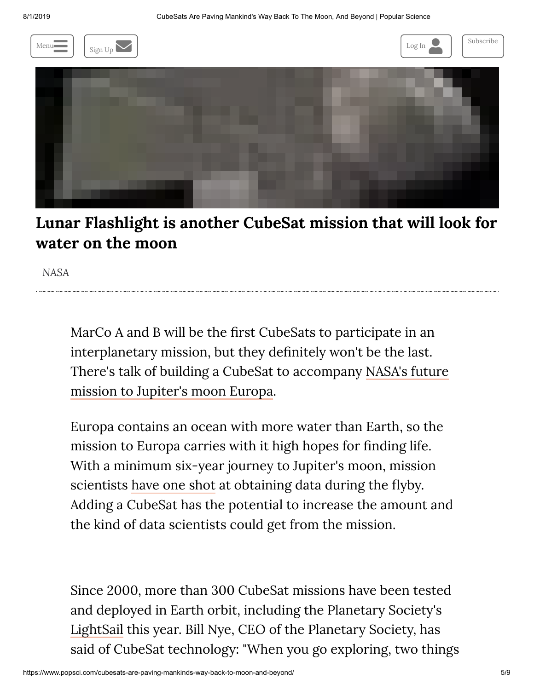

**Lunar Flashlight is another CubeSat mission that will look for water on the moon**

*NASA*

MarCo A and B will be the first CubeSats to participate in an interplanetary mission, but they definitely won't be the last. There's talk of building a CubeSat to accompany NASA's future mission to Jupiter's [moon Europa.](http://www.popsci.com/nasas-europa-mission-no-longer-just-concept)

Europa contains an ocean with more water than Earth, so the mission to Europa carries with it high hopes for finding life. With a minimum six-year journey to Jupiter's moon, mission scientists [have](http://www.popsci.com/europa-or-bust) one shot at obtaining data during the flyby. Adding a CubeSat has the potential to increase the amount and the kind of data scientists could get from the mission.

Since 2000, more than 300 CubeSat missions have been tested and deployed in Earth orbit, including the Planetary Society's [LightSail](http://www.popsci.com/tags/lightsail) this year. Bill Nye, CEO of the Planetary Society, has said of CubeSat technology: "When you go exploring, two things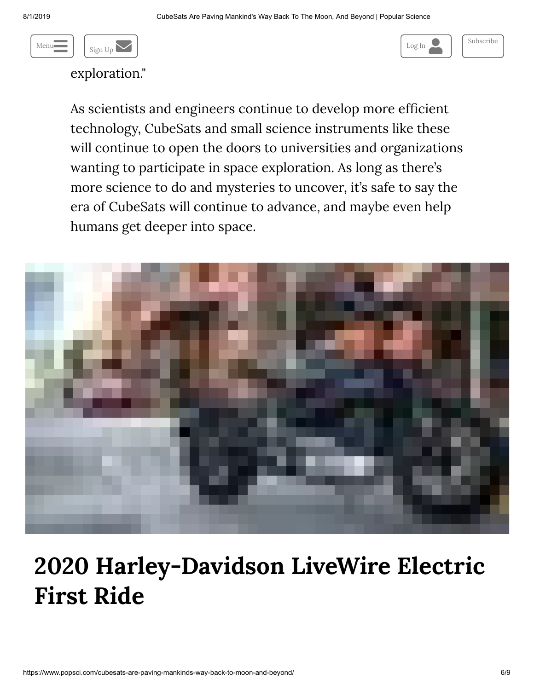



exploration."

As scientists and engineers continue to develop more efficient technology, CubeSats and small science instruments like these will continue to open the doors to universities and organizations wanting to participate in space exploration. As long as there's more science to do and mysteries to uncover, it's safe to say the era of CubeSats will continue to advance, and maybe even help humans get deeper into space.



# **2020 [Harley-Davidson](https://www.cyclevolta.com/2020-harley-davidson-livewire-electric-first-ride/) LiveWire Electric First Ride**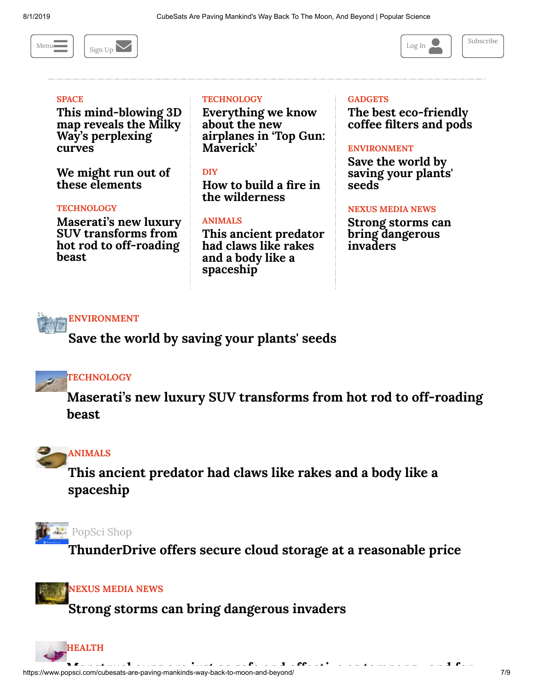



#### **[SPACE](https://www.popsci.com/space)**

**This [mind-blowing](https://www.popsci.com/3d-galaxy-map-milky-way-curve/) 3D map reveals the Milky Way's perplexing curves**

**We might run out of these [elements](https://www.popsci.com/we-might-run-out-these-elements/)**

#### **[TECHNOLOGY](https://www.popsci.com/technology)**

**Maserati's new luxury SUV transforms from hot rod to [off-roading](https://www.popsci.com/driving-maserati-levante-trofeo/) beast**

#### **[TECHNOLOGY](https://www.popsci.com/technology)**

**[Everything](https://www.popsci.com/new-top-gun-maverick-fighter-jets/) we know about the new airplanes in 'Top Gun: Maverick'**

#### **[DIY](https://www.popsci.com/diy)**

**How to build a fire in the [wilderness](https://www.popsci.com/how-to-build-a-fire/)**

#### **[ANIMALS](https://www.popsci.com/animals)**

**This ancient predator had claws like rakes and a body like a [spaceship](https://www.popsci.com/cambroraster-millennium-falcon-fossil/)**

#### **[GADGETS](https://www.popsci.com/gadgets)**

**The best [eco-friendly](https://www.popsci.com/eco-friendly-coffee-pods-filters/) coffee filters and pods**

#### **[ENVIRONMENT](https://www.popsci.com/environment)**

**Save the world by saving [your plants'](https://www.popsci.com/save-the-world-by-saving-plant-seeds/) seeds**

#### **[NEXUS](https://www.popsci.com/blog-network/nexus-media-news/) MEDIA NEWS**

**Strong storms can bring [dangerous](https://www.popsci.com/powerful-storms-and-plant-invasions/) invaders**



**Save the world by [saving your](https://www.popsci.com/save-the-world-by-saving-plant-seeds/) plants' seeds**

### **[TECHNOLOGY](https://www.popsci.com/technology)**

**[M](https://www.popsci.com/driving-maserati-levante-trofeo/)aserati's new luxury SUV transforms from hot rod to [off-roading](https://www.popsci.com/driving-maserati-levante-trofeo/) beast**



**This ancient predator had claws like rakes and a body like a [spaceship](https://www.popsci.com/cambroraster-millennium-falcon-fossil/)**



**[ThunderDrive](https://www.popsci.com/thunderdrive-cloud-storage/) offers secure cloud storage at a reasonable price**



**Strong storms can [bring dangerous](https://www.popsci.com/powerful-storms-and-plant-invasions/) invaders**

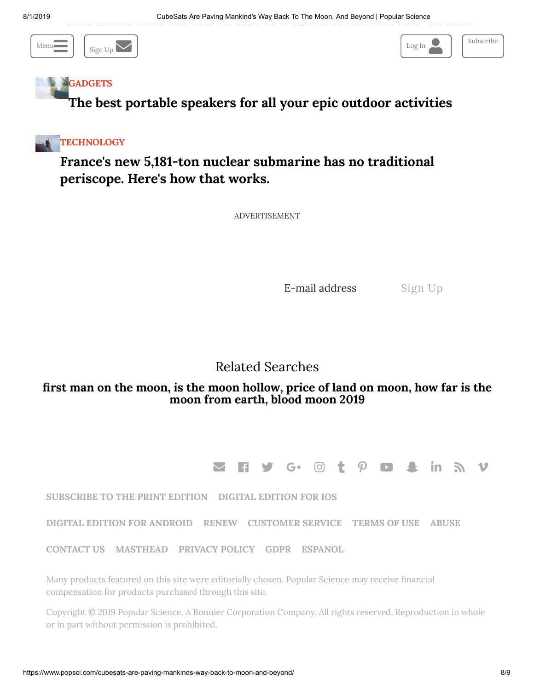



## **[GADGETS](https://www.popsci.com/gadgets)**

**The best portable speakers for all your epic outdoor [activities](https://www.popsci.com/great-portable-speakers/)**



## **France's new 5,181-ton nuclear [submarine](https://www.popsci.com/new-french-submarine-suffren-no-periscope/) has no traditional periscope. Here's how that works.**

ADVERTISEMENT

E-mail address Sign Up

## Related Searches

### **first man on the [moon](https://www.popsci.com/read/first-man-on-the-moon), is the moon [hollow](https://www.popsci.com/read/is-the-moon-hollow)[, price](https://www.popsci.com/read/how-far-is-the-moon-from-earth) of land on [moon](https://www.popsci.com/read/price-of-land-on-moon), how far is the moon from earth, blood [moon](https://www.popsci.com/read/blood-moon-2019) 2019**

 $\boldsymbol{\trianglerighteq}$  . Find y general than  $\boldsymbol{\trianglerighteq}$  . Then  $\boldsymbol{\trianglerighteq}$  is the set of  $\boldsymbol{\trianglerighteq}$  . Then  $\boldsymbol{\trianglerighteq}$ 

**[SUBSCRIBE](http://www.popsci.com/subscribe-to-popular-science-magazine) TO THE PRINT EDITION DIGITAL [EDITION](https://itunes.apple.com/us/app/popular-science/id364049283?ls=1&mt=8) FOR IOS**

**DIGITAL EDITION FOR [ANDROID](https://play.google.com/store/apps/details?id=com.bonniercorp.pop.sci) [RENEW](https://subscribe.popsci.com/servlet/CSGateway?cds_mag_code=PPS) [CUSTOMER](https://subscribe.popsci.com/servlet/CSGateway?cds_mag_code=PPS) SERVICE [TERMS](https://www.popsci.com/terms-of-use) OF USE [ABUSE](https://www.popsci.com/abuse)**

**[CONTACT](https://www.popsci.com/contact) US [MASTHEAD](https://www.popsci.com/masthead) [PRIVACY](https://www.popsci.com/privacy-policy) POLICY [GDPR](https://www.popsci.com/sites/popsci.com/consent.php) [ESPANOL](https://www.popsci.com/espanol)**

Many products featured on this site were editorially chosen. Popular Science may receive financial compensation for products purchased through this site.

Copyright © 2019 Popular Science. A Bonnier [Corporation](https://www.bonniercorp.com/) Company. All rights reserved. Reproduction in whole or in part without permission is prohibited.